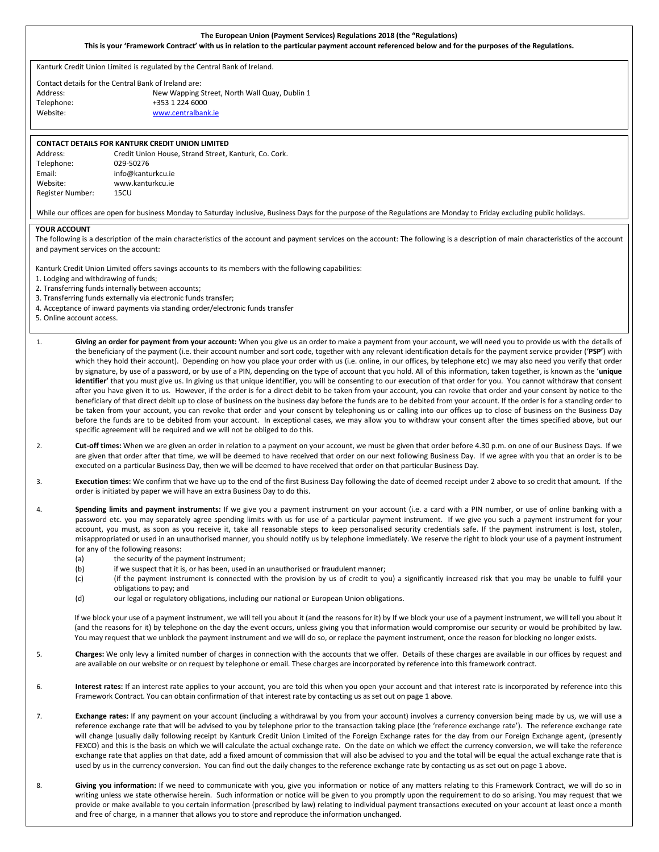### **The European Union (Payment Services) Regulations 2018 (the "Regulations) This is your 'Framework Contract' with us in relation to the particular payment account referenced below and for the purposes of the Regulations.**

Kanturk Credit Union Limited is regulated by the Central Bank of Ireland.

Contact details for the Central Bank of Ireland are: Address: New Wapping Street, North Wall Quay, Dublin 1 Telephone: +353 1 224 6000

Website: [www.centralbank.ie](http://www.centralbank.ie/)

# **CONTACT DETAILS FOR KANTURK CREDIT UNION LIMITED** Address: Credit Union House, Strand Street, Kanturk, Co. Cork. Telephone: 029-50276

Email: info@kanturkcu.ie Website: www.kanturkcu.ie Register Number: 15CU

# While our offices are open for business Monday to Saturday inclusive, Business Days for the purpose of the Regulations are Monday to Friday excluding public holidays.

## **YOUR ACCOUNT**

The following is a description of the main characteristics of the account and payment services on the account: The following is a description of main characteristics of the account and payment services on the account:

Kanturk Credit Union Limited offers savings accounts to its members with the following capabilities:

1. Lodging and withdrawing of funds;

2. Transferring funds internally between accounts;

- 3. Transferring funds externally via electronic funds transfer;
- 4. Acceptance of inward payments via standing order/electronic funds transfer
- 5. Online account access.
- 1. **Giving an order for payment from your account:** When you give us an order to make a payment from your account, we will need you to provide us with the details of the beneficiary of the payment (i.e. their account number and sort code, together with any relevant identification details for the payment service provider ('**PSP'**) with which they hold their account). Depending on how you place your order with us (i.e. online, in our offices, by telephone etc) we may also need you verify that order by signature, by use of a password, or by use of a PIN, depending on the type of account that you hold. All of this information, taken together, is known as the '**unique identifier'** that you must give us. In giving us that unique identifier, you will be consenting to our execution of that order for you. You cannot withdraw that consent after you have given it to us. However, if the order is for a direct debit to be taken from your account, you can revoke that order and your consent by notice to the beneficiary of that direct debit up to close of business on the business day before the funds are to be debited from your account. If the order is for a standing order to be taken from your account, you can revoke that order and your consent by telephoning us or calling into our offices up to close of business on the Business Day before the funds are to be debited from your account. In exceptional cases, we may allow you to withdraw your consent after the times specified above, but our specific agreement will be required and we will not be obliged to do this.
- 2. **Cut-off times:** When we are given an order in relation to a payment on your account, we must be given that order before 4.30 p.m. on one of our Business Days. If we are given that order after that time, we will be deemed to have received that order on our next following Business Day. If we agree with you that an order is to be executed on a particular Business Day, then we will be deemed to have received that order on that particular Business Day.
- 3. **Execution times:** We confirm that we have up to the end of the first Business Day following the date of deemed receipt under 2 above to so credit that amount. If the order is initiated by paper we will have an extra Business Day to do this.
- 4. **Spending limits and payment instruments:** If we give you a payment instrument on your account (i.e. a card with a PIN number, or use of online banking with a password etc. you may separately agree spending limits with us for use of a particular payment instrument. If we give you such a payment instrument for your account, you must, as soon as you receive it, take all reasonable steps to keep personalised security credentials safe. If the payment instrument is lost, stolen, misappropriated or used in an unauthorised manner, you should notify us by telephone immediately. We reserve the right to block your use of a payment instrument for any of the following reasons:
	- (a) the security of the payment instrument;<br>(b) if we suspect that it is, or has been, used
	- if we suspect that it is, or has been, used in an unauthorised or fraudulent manner;
	- (c) (if the payment instrument is connected with the provision by us of credit to you) a significantly increased risk that you may be unable to fulfil your obligations to pay; and
	- (d) our legal or regulatory obligations, including our national or European Union obligations.

If we block your use of a payment instrument, we will tell you about it (and the reasons for it) by If we block your use of a payment instrument, we will tell you about it (and the reasons for it) by telephone on the day the event occurs, unless giving you that information would compromise our security or would be prohibited by law. You may request that we unblock the payment instrument and we will do so, or replace the payment instrument, once the reason for blocking no longer exists.

- 5. **Charges:** We only levy a limited number of charges in connection with the accounts that we offer. Details of these charges are available in our offices by request and are available on our website or on request by telephone or email. These charges are incorporated by reference into this framework contract.
- 6. **Interest rates:** If an interest rate applies to your account, you are told this when you open your account and that interest rate is incorporated by reference into this Framework Contract. You can obtain confirmation of that interest rate by contacting us as set out on page 1 above.
- 7. **Exchange rates:** If any payment on your account (including a withdrawal by you from your account) involves a currency conversion being made by us, we will use a reference exchange rate that will be advised to you by telephone prior to the transaction taking place (the 'reference exchange rate'). The reference exchange rate will change (usually daily following receipt by Kanturk Credit Union Limited of the Foreign Exchange rates for the day from our Foreign Exchange agent, (presently FEXCO) and this is the basis on which we will calculate the actual exchange rate. On the date on which we effect the currency conversion, we will take the reference exchange rate that applies on that date, add a fixed amount of commission that will also be advised to you and the total will be equal the actual exchange rate that is used by us in the currency conversion. You can find out the daily changes to the reference exchange rate by contacting us as set out on page 1 above.
- 8. **Giving you information:** If we need to communicate with you, give you information or notice of any matters relating to this Framework Contract, we will do so in writing unless we state otherwise herein. Such information or notice will be given to you promptly upon the requirement to do so arising. You may request that we provide or make available to you certain information (prescribed by law) relating to individual payment transactions executed on your account at least once a month and free of charge, in a manner that allows you to store and reproduce the information unchanged.